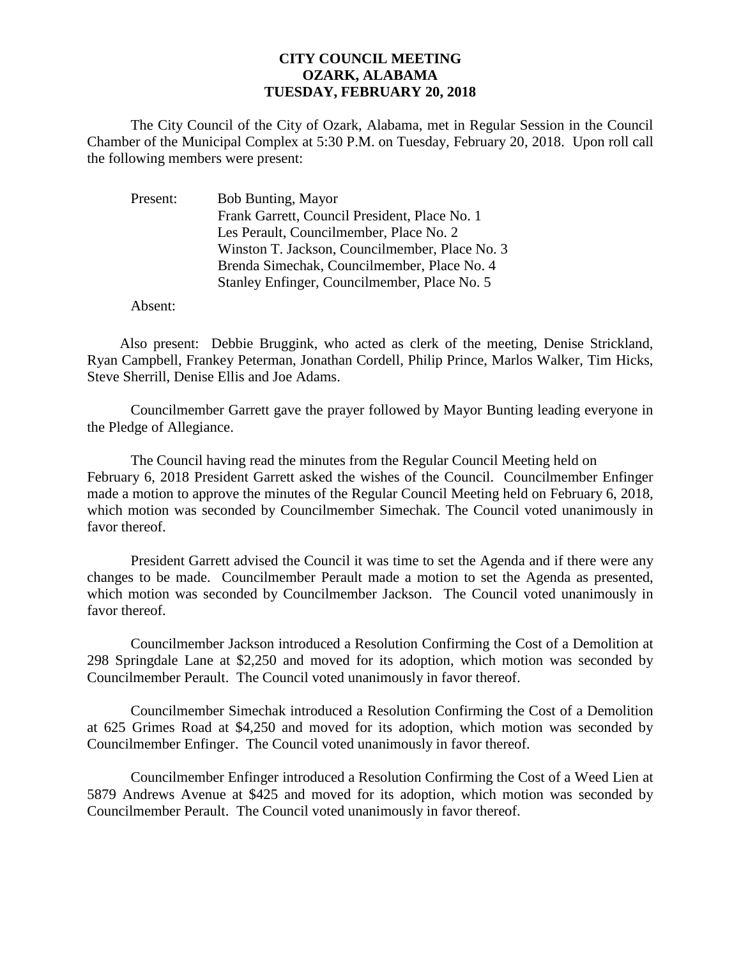## **CITY COUNCIL MEETING OZARK, ALABAMA TUESDAY, FEBRUARY 20, 2018**

The City Council of the City of Ozark, Alabama, met in Regular Session in the Council Chamber of the Municipal Complex at 5:30 P.M. on Tuesday, February 20, 2018. Upon roll call the following members were present:

| Present: | <b>Bob Bunting, Mayor</b>                      |
|----------|------------------------------------------------|
|          | Frank Garrett, Council President, Place No. 1  |
|          | Les Perault, Councilmember, Place No. 2        |
|          | Winston T. Jackson, Councilmember, Place No. 3 |
|          | Brenda Simechak, Councilmember, Place No. 4    |
|          | Stanley Enfinger, Councilmember, Place No. 5   |

Absent:

Also present: Debbie Bruggink, who acted as clerk of the meeting, Denise Strickland, Ryan Campbell, Frankey Peterman, Jonathan Cordell, Philip Prince, Marlos Walker, Tim Hicks, Steve Sherrill, Denise Ellis and Joe Adams.

Councilmember Garrett gave the prayer followed by Mayor Bunting leading everyone in the Pledge of Allegiance.

The Council having read the minutes from the Regular Council Meeting held on February 6, 2018 President Garrett asked the wishes of the Council. Councilmember Enfinger made a motion to approve the minutes of the Regular Council Meeting held on February 6, 2018, which motion was seconded by Councilmember Simechak. The Council voted unanimously in favor thereof.

President Garrett advised the Council it was time to set the Agenda and if there were any changes to be made. Councilmember Perault made a motion to set the Agenda as presented, which motion was seconded by Councilmember Jackson. The Council voted unanimously in favor thereof.

Councilmember Jackson introduced a Resolution Confirming the Cost of a Demolition at 298 Springdale Lane at \$2,250 and moved for its adoption, which motion was seconded by Councilmember Perault. The Council voted unanimously in favor thereof.

Councilmember Simechak introduced a Resolution Confirming the Cost of a Demolition at 625 Grimes Road at \$4,250 and moved for its adoption, which motion was seconded by Councilmember Enfinger. The Council voted unanimously in favor thereof.

Councilmember Enfinger introduced a Resolution Confirming the Cost of a Weed Lien at 5879 Andrews Avenue at \$425 and moved for its adoption, which motion was seconded by Councilmember Perault. The Council voted unanimously in favor thereof.